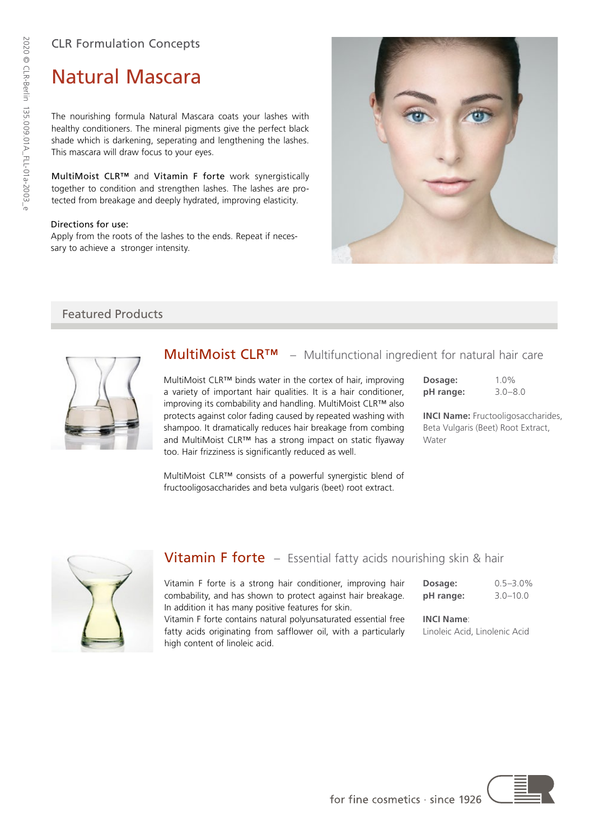## CLR Formulation Concepts

# Natural Mascara

The nourishing formula Natural Mascara coats your lashes with healthy conditioners. The mineral pigments give the perfect black shade which is darkening, seperating and lengthening the lashes. This mascara will draw focus to your eyes.

MultiMoist CLR™ and Vitamin F forte work synergistically together to condition and strengthen lashes. The lashes are protected from breakage and deeply hydrated, improving elasticity.

#### Directions for use:

Apply from the roots of the lashes to the ends. Repeat if necessary to achieve a stronger intensity.



## Featured Products



## **MultiMoist CLR™** – Multifunctional ingredient for natural hair care

MultiMoist CLR™ binds water in the cortex of hair, improving a variety of important hair qualities. It is a hair conditioner, improving its combability and handling. MultiMoist CLR™ also protects against color fading caused by repeated washing with shampoo. It dramatically reduces hair breakage from combing and MultiMoist CLR™ has a strong impact on static flyaway too. Hair frizziness is significantly reduced as well.

| Dosage:   | $1.0\%$     |
|-----------|-------------|
| pH range: | $3.0 - 8.0$ |

**INCI Name:** Fructooligosaccharides, Beta Vulgaris (Beet) Root Extract, Water

MultiMoist CLR™ consists of a powerful synergistic blend of fructooligosaccharides and beta vulgaris (beet) root extract.



## Vitamin F forte – Essential fatty acids nourishing skin & hair

Vitamin F forte is a strong hair conditioner, improving hair combability, and has shown to protect against hair breakage. In addition it has many positive features for skin.

Vitamin F forte contains natural polyunsaturated essential free fatty acids originating from safflower oil, with a particularly high content of linoleic acid.

**Dosage:** 0.5–3.0% **pH range:** 3.0–10.0

**INCI Name**:

Linoleic Acid, Linolenic Acid